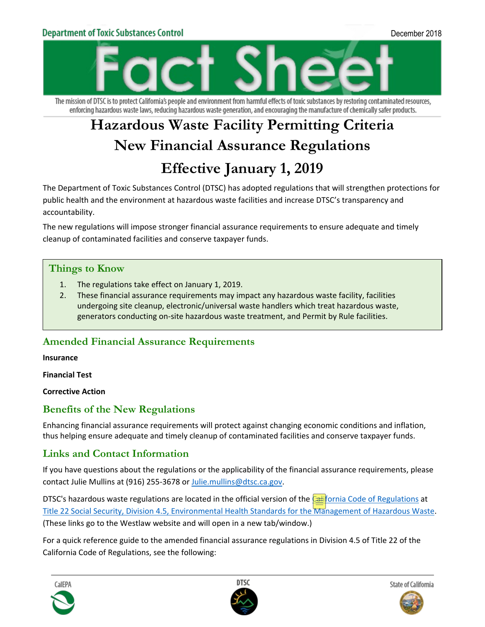

The mission of DTSC is to protect California's people and environment from harmful effects of toxic substances by restoring contaminated resources, enforcing hazardous waste laws, reducing hazardous waste generation, and encouraging the manufacture of chemically safer products.

# **Hazardous Waste Facility Permitting Criteria New Financial Assurance Regulations Effective January 1, 2019**

The Department of Toxic Substances Control (DTSC) has adopted regulations that will strengthen protections for public health and the environment at hazardous waste facilities and increase DTSC's transparency and accountability.

The new regulations will impose stronger financial assurance requirements to ensure adequate and timely cleanup of contaminated facilities and conserve taxpayer funds.

#### **Things to Know**

- 1. The regulations take effect on January 1, 2019.
- 2. These financial assurance requirements may impact any hazardous waste facility, facilities undergoing site cleanup, electronic/universal waste handlers which treat hazardous waste, generators conducting on-site hazardous waste treatment, and Permit by Rule facilities.

## **Amended Financial Assurance Requirements**

**Insurance**

**Financial Test** 

**Corrective Action**

#### **Benefits of the New Regulations**

Enhancing financial assurance requirements will protect against changing economic conditions and inflation, thus helping ensure adequate and timely cleanup of contaminated facilities and conserve taxpayer funds.

## **Links and Contact Information**

If you have questions about the regulations or the applicability of the financial assurance requirements, please contact Julie Mullins at (916) 255-3678 or [Julie.mullins@dtsc.ca.gov.](mailto:Julie.mullins@dtsc.ca.gov)

DTSC's hazardous waste regulations are located in the official version of the [California Code of Regulations](https://govt.westlaw.com/calregs/Index?transitionType=Default&contextData=(sc.Default)) at [Title 22 Social Security, Division 4.5, Environmental Health Standards for the Management of Hazardous Waste.](https://govt.westlaw.com/calregs/Browse/Home/California/CaliforniaCodeofRegulations?guid=I77C6B3D0D4BA11DE8879F88E8B0DAAAE&originationContext=documenttoc&transitionType=Default&contextData=(sc.Default)) (These links go to the Westlaw website and will open in a new tab/window.)

For a quick reference guide to the amended financial assurance regulations in Division 4.5 of Title 22 of the California Code of Regulations, see the following: